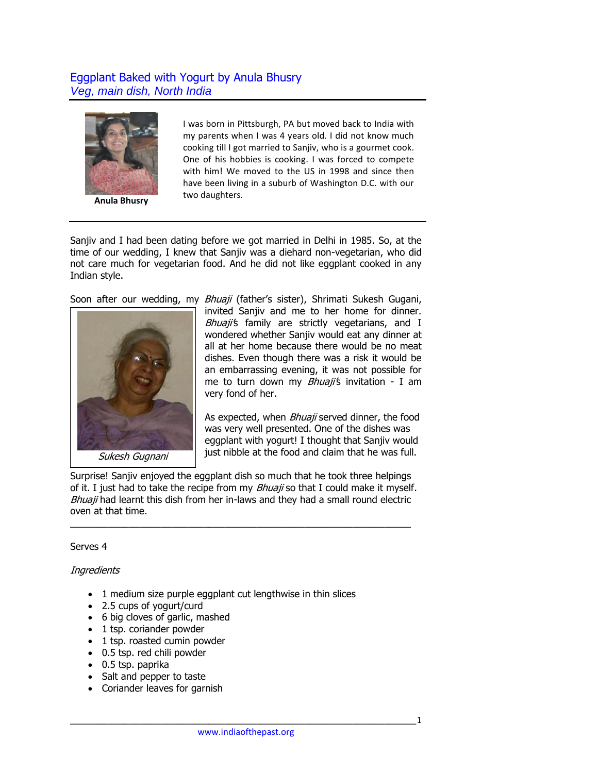## Eggplant Baked with Yogurt by Anula Bhusry *Veg, main dish, North India*



**Anula Bhusry**

I was born in Pittsburgh, PA but moved back to India with my parents when I was 4 years old. I did not know much cooking till I got married to Sanjiv, who is a gourmet cook. One of his hobbies is cooking. I was forced to compete with him! We moved to the US in 1998 and since then have been living in a suburb of Washington D.C. with our two daughters.

Sanjiv and I had been dating before we got married in Delhi in 1985. So, at the time of our wedding, I knew that Sanjiv was a diehard non-vegetarian, who did not care much for vegetarian food. And he did not like eggplant cooked in any Indian style.

Soon after our wedding, my Bhuaji (father's sister), Shrimati Sukesh Gugani,



invited Sanjiv and me to her home for dinner. Bhuaji's family are strictly vegetarians, and I wondered whether Sanjiv would eat any dinner at all at her home because there would be no meat dishes. Even though there was a risk it would be an embarrassing evening, it was not possible for me to turn down my *Bhuaji'*s invitation - I am very fond of her.

As expected, when *Bhuaji* served dinner, the food was very well presented. One of the dishes was eggplant with yogurt! I thought that Sanjiv would just nibble at the food and claim that he was full.

Surprise! Sanjiv enjoyed the eggplant dish so much that he took three helpings of it. I just had to take the recipe from my  $Bhuaji$  so that I could make it myself. Bhuaji had learnt this dish from her in-laws and they had a small round electric oven at that time.

\_\_\_\_\_\_\_\_\_\_\_\_\_\_\_\_\_\_\_\_\_\_\_\_\_\_\_\_\_\_\_\_\_\_\_\_\_\_\_\_\_\_\_\_\_\_\_\_\_\_\_\_\_\_\_\_\_\_\_\_\_\_\_\_

## Serves 4

## **Ingredients**

- 1 medium size purple eggplant cut lengthwise in thin slices
- 2.5 cups of yogurt/curd
- 6 big cloves of garlic, mashed
- 1 tsp. coriander powder
- 1 tsp. roasted cumin powder
- 0.5 tsp. red chili powder
- 0.5 tsp. paprika
- Salt and pepper to taste
- Coriander leaves for garnish